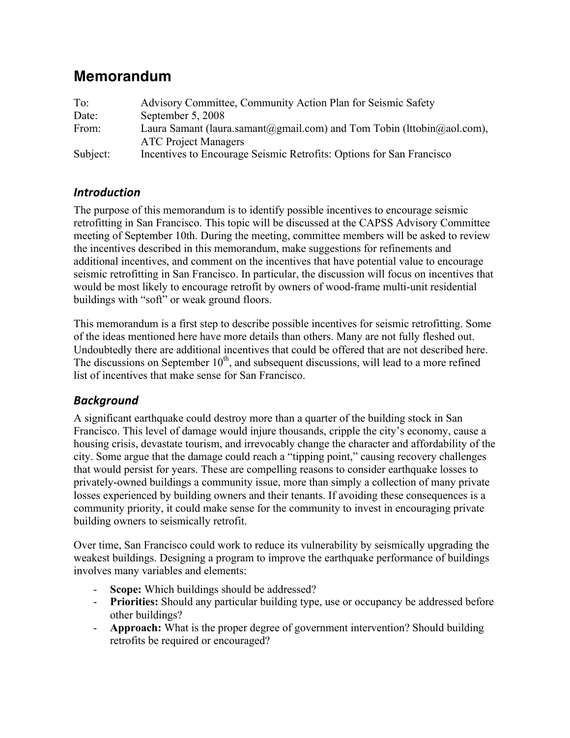# **Memorandum**

| To:      | Advisory Committee, Community Action Plan for Seismic Safety           |
|----------|------------------------------------------------------------------------|
| Date:    | September 5, 2008                                                      |
| From:    | Laura Samant (laura.samant@gmail.com) and Tom Tobin (lttobin@aol.com), |
|          | <b>ATC Project Managers</b>                                            |
| Subject: | Incentives to Encourage Seismic Retrofits: Options for San Francisco   |

# *Introduction*

The purpose of this memorandum is to identify possible incentives to encourage seismic retrofitting in San Francisco. This topic will be discussed at the CAPSS Advisory Committee meeting of September 10th. During the meeting, committee members will be asked to review the incentives described in this memorandum, make suggestions for refinements and additional incentives, and comment on the incentives that have potential value to encourage seismic retrofitting in San Francisco. In particular, the discussion will focus on incentives that would be most likely to encourage retrofit by owners of wood-frame multi-unit residential buildings with "soft" or weak ground floors.

This memorandum is a first step to describe possible incentives for seismic retrofitting. Some of the ideas mentioned here have more details than others. Many are not fully fleshed out. Undoubtedly there are additional incentives that could be offered that are not described here. The discussions on September  $10<sup>th</sup>$ , and subsequent discussions, will lead to a more refined list of incentives that make sense for San Francisco.

# *Background*

A significant earthquake could destroy more than a quarter of the building stock in San Francisco. This level of damage would injure thousands, cripple the city's economy, cause a housing crisis, devastate tourism, and irrevocably change the character and affordability of the city. Some argue that the damage could reach a "tipping point," causing recovery challenges that would persist for years. These are compelling reasons to consider earthquake losses to privately-owned buildings a community issue, more than simply a collection of many private losses experienced by building owners and their tenants. If avoiding these consequences is a community priority, it could make sense for the community to invest in encouraging private building owners to seismically retrofit.

Over time, San Francisco could work to reduce its vulnerability by seismically upgrading the weakest buildings. Designing a program to improve the earthquake performance of buildings involves many variables and elements:

- **Scope:** Which buildings should be addressed?
- **Priorities:** Should any particular building type, use or occupancy be addressed before other buildings?
- **Approach:** What is the proper degree of government intervention? Should building retrofits be required or encouraged?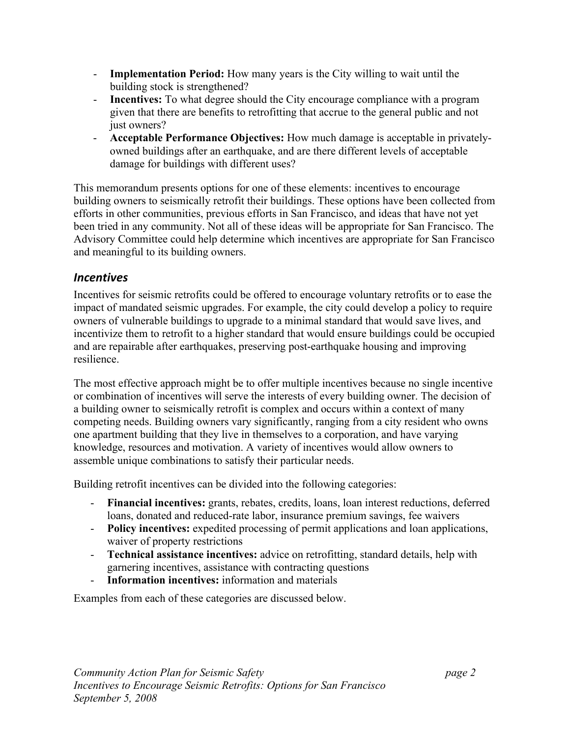- **Implementation Period:** How many years is the City willing to wait until the building stock is strengthened?
- **Incentives:** To what degree should the City encourage compliance with a program given that there are benefits to retrofitting that accrue to the general public and not just owners?
- **Acceptable Performance Objectives:** How much damage is acceptable in privatelyowned buildings after an earthquake, and are there different levels of acceptable damage for buildings with different uses?

This memorandum presents options for one of these elements: incentives to encourage building owners to seismically retrofit their buildings. These options have been collected from efforts in other communities, previous efforts in San Francisco, and ideas that have not yet been tried in any community. Not all of these ideas will be appropriate for San Francisco. The Advisory Committee could help determine which incentives are appropriate for San Francisco and meaningful to its building owners.

# *Incentives*

Incentives for seismic retrofits could be offered to encourage voluntary retrofits or to ease the impact of mandated seismic upgrades. For example, the city could develop a policy to require owners of vulnerable buildings to upgrade to a minimal standard that would save lives, and incentivize them to retrofit to a higher standard that would ensure buildings could be occupied and are repairable after earthquakes, preserving post-earthquake housing and improving resilience.

The most effective approach might be to offer multiple incentives because no single incentive or combination of incentives will serve the interests of every building owner. The decision of a building owner to seismically retrofit is complex and occurs within a context of many competing needs. Building owners vary significantly, ranging from a city resident who owns one apartment building that they live in themselves to a corporation, and have varying knowledge, resources and motivation. A variety of incentives would allow owners to assemble unique combinations to satisfy their particular needs.

Building retrofit incentives can be divided into the following categories:

- **Financial incentives:** grants, rebates, credits, loans, loan interest reductions, deferred loans, donated and reduced-rate labor, insurance premium savings, fee waivers
- **Policy incentives:** expedited processing of permit applications and loan applications, waiver of property restrictions
- **Technical assistance incentives:** advice on retrofitting, standard details, help with garnering incentives, assistance with contracting questions
- Information incentives: information and materials

Examples from each of these categories are discussed below.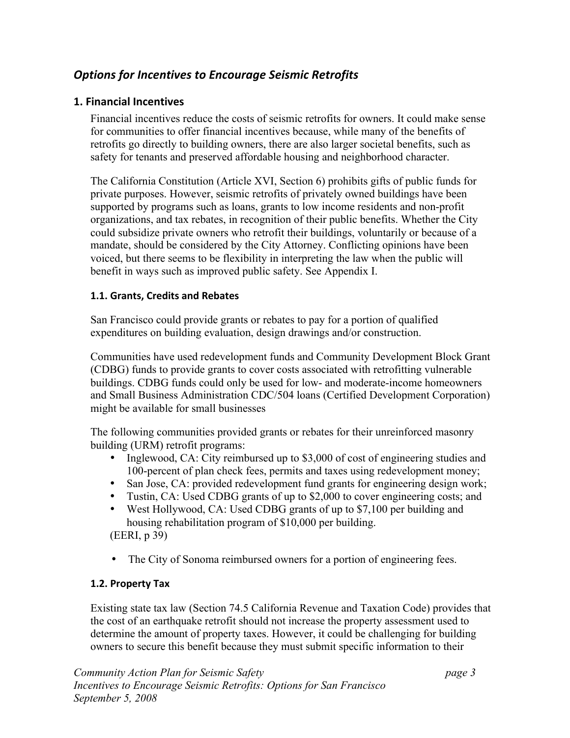# *Options for Incentives to Encourage Seismic Retrofits*

# **1. Financial
Incentives**

Financial incentives reduce the costs of seismic retrofits for owners. It could make sense for communities to offer financial incentives because, while many of the benefits of retrofits go directly to building owners, there are also larger societal benefits, such as safety for tenants and preserved affordable housing and neighborhood character.

The California Constitution (Article XVI, Section 6) prohibits gifts of public funds for private purposes. However, seismic retrofits of privately owned buildings have been supported by programs such as loans, grants to low income residents and non-profit organizations, and tax rebates, in recognition of their public benefits. Whether the City could subsidize private owners who retrofit their buildings, voluntarily or because of a mandate, should be considered by the City Attorney. Conflicting opinions have been voiced, but there seems to be flexibility in interpreting the law when the public will benefit in ways such as improved public safety. See Appendix I.

#### **1.1.
Grants,
Credits
and
Rebates**

San Francisco could provide grants or rebates to pay for a portion of qualified expenditures on building evaluation, design drawings and/or construction.

Communities have used redevelopment funds and Community Development Block Grant (CDBG) funds to provide grants to cover costs associated with retrofitting vulnerable buildings. CDBG funds could only be used for low- and moderate-income homeowners and Small Business Administration CDC/504 loans (Certified Development Corporation) might be available for small businesses

The following communities provided grants or rebates for their unreinforced masonry building (URM) retrofit programs:

- Inglewood, CA: City reimbursed up to \$3,000 of cost of engineering studies and 100-percent of plan check fees, permits and taxes using redevelopment money;
- San Jose, CA: provided redevelopment fund grants for engineering design work;
- Tustin, CA: Used CDBG grants of up to \$2,000 to cover engineering costs; and
- West Hollywood, CA: Used CDBG grants of up to \$7,100 per building and housing rehabilitation program of \$10,000 per building.

(EERI, p 39)

• The City of Sonoma reimbursed owners for a portion of engineering fees.

# **1.2.
Property
Tax**

Existing state tax law (Section 74.5 California Revenue and Taxation Code) provides that the cost of an earthquake retrofit should not increase the property assessment used to determine the amount of property taxes. However, it could be challenging for building owners to secure this benefit because they must submit specific information to their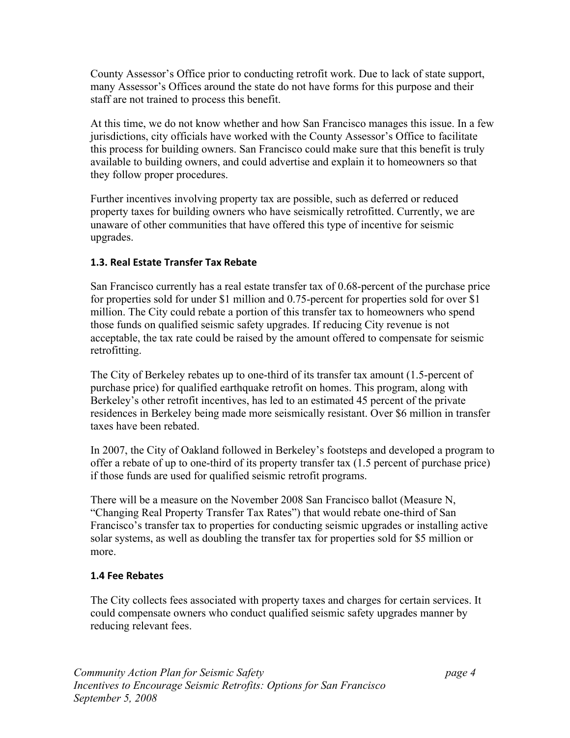County Assessor's Office prior to conducting retrofit work. Due to lack of state support, many Assessor's Offices around the state do not have forms for this purpose and their staff are not trained to process this benefit.

At this time, we do not know whether and how San Francisco manages this issue. In a few jurisdictions, city officials have worked with the County Assessor's Office to facilitate this process for building owners. San Francisco could make sure that this benefit is truly available to building owners, and could advertise and explain it to homeowners so that they follow proper procedures.

Further incentives involving property tax are possible, such as deferred or reduced property taxes for building owners who have seismically retrofitted. Currently, we are unaware of other communities that have offered this type of incentive for seismic upgrades.

# **1.3.
Real
Estate
Transfer
Tax
Rebate**

San Francisco currently has a real estate transfer tax of 0.68-percent of the purchase price for properties sold for under \$1 million and 0.75-percent for properties sold for over \$1 million. The City could rebate a portion of this transfer tax to homeowners who spend those funds on qualified seismic safety upgrades. If reducing City revenue is not acceptable, the tax rate could be raised by the amount offered to compensate for seismic retrofitting.

The City of Berkeley rebates up to one-third of its transfer tax amount (1.5-percent of purchase price) for qualified earthquake retrofit on homes. This program, along with Berkeley's other retrofit incentives, has led to an estimated 45 percent of the private residences in Berkeley being made more seismically resistant. Over \$6 million in transfer taxes have been rebated.

In 2007, the City of Oakland followed in Berkeley's footsteps and developed a program to offer a rebate of up to one-third of its property transfer tax (1.5 percent of purchase price) if those funds are used for qualified seismic retrofit programs.

There will be a measure on the November 2008 San Francisco ballot (Measure N, "Changing Real Property Transfer Tax Rates") that would rebate one-third of San Francisco's transfer tax to properties for conducting seismic upgrades or installing active solar systems, as well as doubling the transfer tax for properties sold for \$5 million or more.

#### **1.4
Fee
Rebates**

The City collects fees associated with property taxes and charges for certain services. It could compensate owners who conduct qualified seismic safety upgrades manner by reducing relevant fees.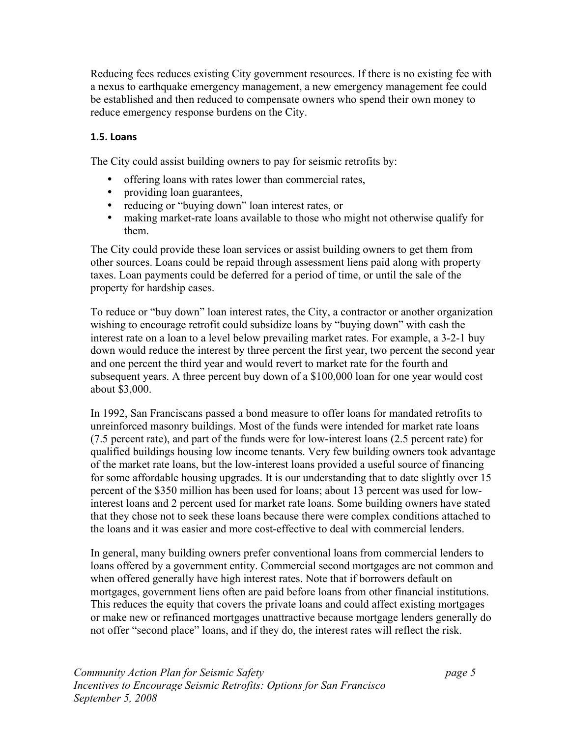Reducing fees reduces existing City government resources. If there is no existing fee with a nexus to earthquake emergency management, a new emergency management fee could be established and then reduced to compensate owners who spend their own money to reduce emergency response burdens on the City.

#### **1.5.
Loans**

The City could assist building owners to pay for seismic retrofits by:

- offering loans with rates lower than commercial rates,
- providing loan guarantees,
- reducing or "buying down" loan interest rates, or
- making market-rate loans available to those who might not otherwise qualify for them.

The City could provide these loan services or assist building owners to get them from other sources. Loans could be repaid through assessment liens paid along with property taxes. Loan payments could be deferred for a period of time, or until the sale of the property for hardship cases.

To reduce or "buy down" loan interest rates, the City, a contractor or another organization wishing to encourage retrofit could subsidize loans by "buying down" with cash the interest rate on a loan to a level below prevailing market rates. For example, a 3-2-1 buy down would reduce the interest by three percent the first year, two percent the second year and one percent the third year and would revert to market rate for the fourth and subsequent years. A three percent buy down of a \$100,000 loan for one year would cost about \$3,000.

In 1992, San Franciscans passed a bond measure to offer loans for mandated retrofits to unreinforced masonry buildings. Most of the funds were intended for market rate loans (7.5 percent rate), and part of the funds were for low-interest loans (2.5 percent rate) for qualified buildings housing low income tenants. Very few building owners took advantage of the market rate loans, but the low-interest loans provided a useful source of financing for some affordable housing upgrades. It is our understanding that to date slightly over 15 percent of the \$350 million has been used for loans; about 13 percent was used for lowinterest loans and 2 percent used for market rate loans. Some building owners have stated that they chose not to seek these loans because there were complex conditions attached to the loans and it was easier and more cost-effective to deal with commercial lenders.

In general, many building owners prefer conventional loans from commercial lenders to loans offered by a government entity. Commercial second mortgages are not common and when offered generally have high interest rates. Note that if borrowers default on mortgages, government liens often are paid before loans from other financial institutions. This reduces the equity that covers the private loans and could affect existing mortgages or make new or refinanced mortgages unattractive because mortgage lenders generally do not offer "second place" loans, and if they do, the interest rates will reflect the risk.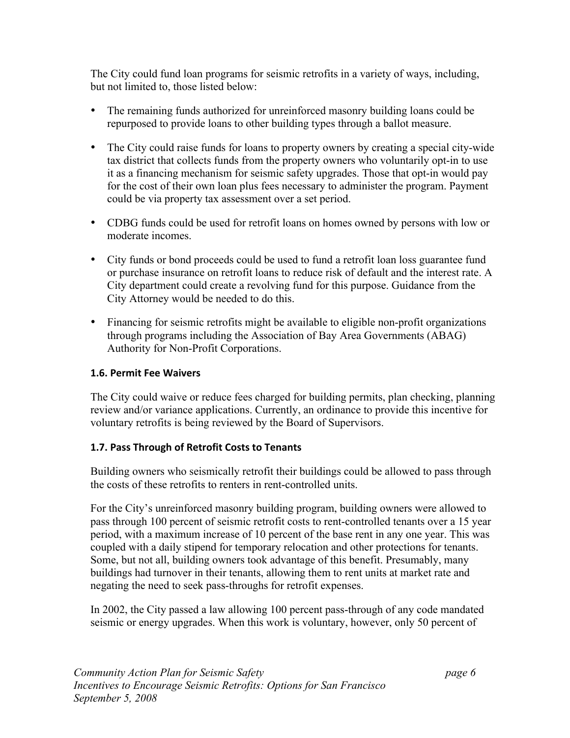The City could fund loan programs for seismic retrofits in a variety of ways, including, but not limited to, those listed below:

- The remaining funds authorized for unreinforced masonry building loans could be repurposed to provide loans to other building types through a ballot measure.
- The City could raise funds for loans to property owners by creating a special city-wide tax district that collects funds from the property owners who voluntarily opt-in to use it as a financing mechanism for seismic safety upgrades. Those that opt-in would pay for the cost of their own loan plus fees necessary to administer the program. Payment could be via property tax assessment over a set period.
- CDBG funds could be used for retrofit loans on homes owned by persons with low or moderate incomes.
- City funds or bond proceeds could be used to fund a retrofit loan loss guarantee fund or purchase insurance on retrofit loans to reduce risk of default and the interest rate. A City department could create a revolving fund for this purpose. Guidance from the City Attorney would be needed to do this.
- Financing for seismic retrofits might be available to eligible non-profit organizations through programs including the Association of Bay Area Governments (ABAG) Authority for Non-Profit Corporations.

#### **1.6.
Permit
Fee
Waivers**

The City could waive or reduce fees charged for building permits, plan checking, planning review and/or variance applications. Currently, an ordinance to provide this incentive for voluntary retrofits is being reviewed by the Board of Supervisors.

# **1.7.
Pass
Through
of
Retrofit
Costs
to
Tenants**

Building owners who seismically retrofit their buildings could be allowed to pass through the costs of these retrofits to renters in rent-controlled units.

For the City's unreinforced masonry building program, building owners were allowed to pass through 100 percent of seismic retrofit costs to rent-controlled tenants over a 15 year period, with a maximum increase of 10 percent of the base rent in any one year. This was coupled with a daily stipend for temporary relocation and other protections for tenants. Some, but not all, building owners took advantage of this benefit. Presumably, many buildings had turnover in their tenants, allowing them to rent units at market rate and negating the need to seek pass-throughs for retrofit expenses.

In 2002, the City passed a law allowing 100 percent pass-through of any code mandated seismic or energy upgrades. When this work is voluntary, however, only 50 percent of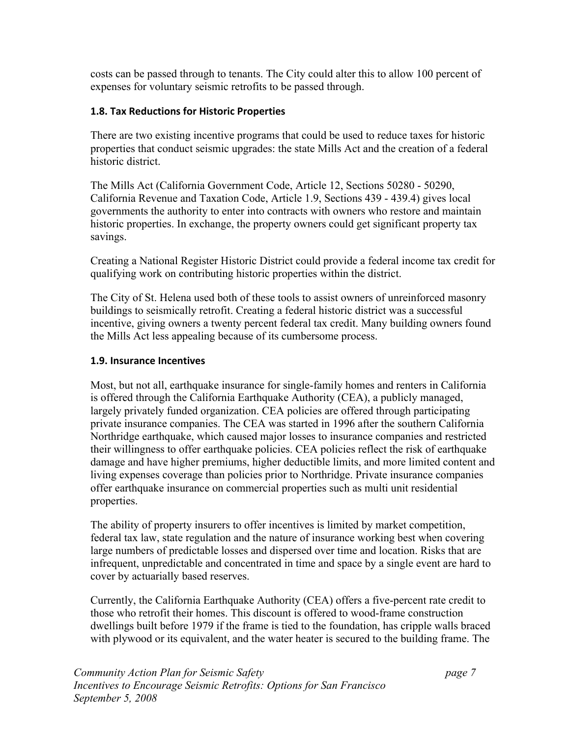costs can be passed through to tenants. The City could alter this to allow 100 percent of expenses for voluntary seismic retrofits to be passed through.

#### **1.8.
Tax
Reductions
for
Historic
Properties**

There are two existing incentive programs that could be used to reduce taxes for historic properties that conduct seismic upgrades: the state Mills Act and the creation of a federal historic district.

The Mills Act (California Government Code, Article 12, Sections 50280 - 50290, California Revenue and Taxation Code, Article 1.9, Sections 439 - 439.4) gives local governments the authority to enter into contracts with owners who restore and maintain historic properties. In exchange, the property owners could get significant property tax savings.

Creating a National Register Historic District could provide a federal income tax credit for qualifying work on contributing historic properties within the district.

The City of St. Helena used both of these tools to assist owners of unreinforced masonry buildings to seismically retrofit. Creating a federal historic district was a successful incentive, giving owners a twenty percent federal tax credit. Many building owners found the Mills Act less appealing because of its cumbersome process.

#### 1.9. Insurance Incentives

Most, but not all, earthquake insurance for single-family homes and renters in California is offered through the California Earthquake Authority (CEA), a publicly managed, largely privately funded organization. CEA policies are offered through participating private insurance companies. The CEA was started in 1996 after the southern California Northridge earthquake, which caused major losses to insurance companies and restricted their willingness to offer earthquake policies. CEA policies reflect the risk of earthquake damage and have higher premiums, higher deductible limits, and more limited content and living expenses coverage than policies prior to Northridge. Private insurance companies offer earthquake insurance on commercial properties such as multi unit residential properties.

The ability of property insurers to offer incentives is limited by market competition, federal tax law, state regulation and the nature of insurance working best when covering large numbers of predictable losses and dispersed over time and location. Risks that are infrequent, unpredictable and concentrated in time and space by a single event are hard to cover by actuarially based reserves.

Currently, the California Earthquake Authority (CEA) offers a five-percent rate credit to those who retrofit their homes. This discount is offered to wood-frame construction dwellings built before 1979 if the frame is tied to the foundation, has cripple walls braced with plywood or its equivalent, and the water heater is secured to the building frame. The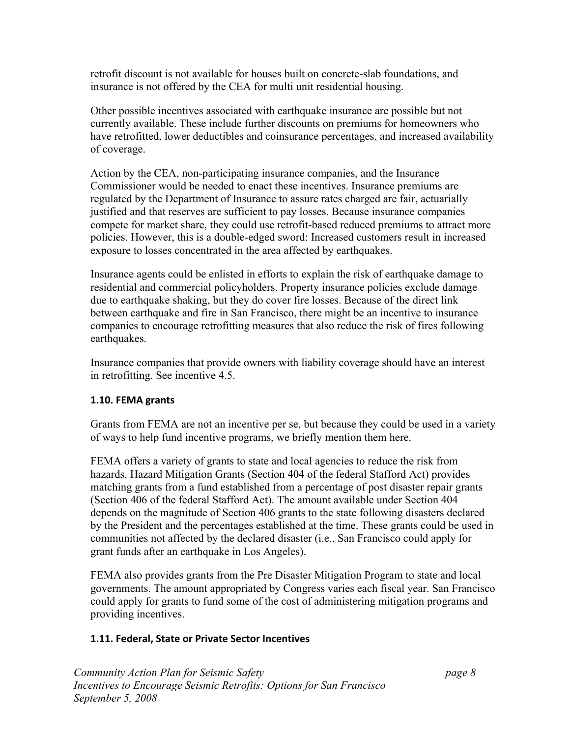retrofit discount is not available for houses built on concrete-slab foundations, and insurance is not offered by the CEA for multi unit residential housing.

Other possible incentives associated with earthquake insurance are possible but not currently available. These include further discounts on premiums for homeowners who have retrofitted, lower deductibles and coinsurance percentages, and increased availability of coverage.

Action by the CEA, non-participating insurance companies, and the Insurance Commissioner would be needed to enact these incentives. Insurance premiums are regulated by the Department of Insurance to assure rates charged are fair, actuarially justified and that reserves are sufficient to pay losses. Because insurance companies compete for market share, they could use retrofit-based reduced premiums to attract more policies. However, this is a double-edged sword: Increased customers result in increased exposure to losses concentrated in the area affected by earthquakes.

Insurance agents could be enlisted in efforts to explain the risk of earthquake damage to residential and commercial policyholders. Property insurance policies exclude damage due to earthquake shaking, but they do cover fire losses. Because of the direct link between earthquake and fire in San Francisco, there might be an incentive to insurance companies to encourage retrofitting measures that also reduce the risk of fires following earthquakes.

Insurance companies that provide owners with liability coverage should have an interest in retrofitting. See incentive 4.5.

#### **1.10.
FEMA
grants**

Grants from FEMA are not an incentive per se, but because they could be used in a variety of ways to help fund incentive programs, we briefly mention them here.

FEMA offers a variety of grants to state and local agencies to reduce the risk from hazards. Hazard Mitigation Grants (Section 404 of the federal Stafford Act) provides matching grants from a fund established from a percentage of post disaster repair grants (Section 406 of the federal Stafford Act). The amount available under Section 404 depends on the magnitude of Section 406 grants to the state following disasters declared by the President and the percentages established at the time. These grants could be used in communities not affected by the declared disaster (i.e., San Francisco could apply for grant funds after an earthquake in Los Angeles).

FEMA also provides grants from the Pre Disaster Mitigation Program to state and local governments. The amount appropriated by Congress varies each fiscal year. San Francisco could apply for grants to fund some of the cost of administering mitigation programs and providing incentives.

#### **1.11.
Federal,
State
or
Private
Sector
Incentives**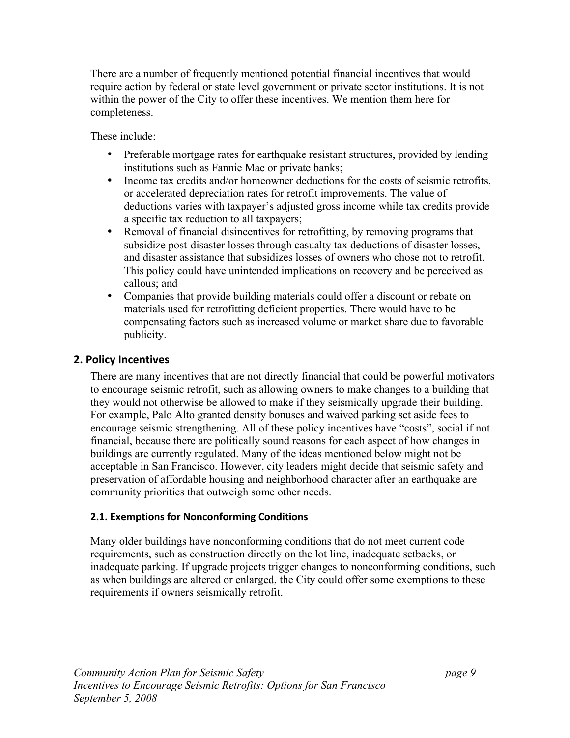There are a number of frequently mentioned potential financial incentives that would require action by federal or state level government or private sector institutions. It is not within the power of the City to offer these incentives. We mention them here for completeness.

These include:

- Preferable mortgage rates for earthquake resistant structures, provided by lending institutions such as Fannie Mae or private banks;
- Income tax credits and/or homeowner deductions for the costs of seismic retrofits, or accelerated depreciation rates for retrofit improvements. The value of deductions varies with taxpayer's adjusted gross income while tax credits provide a specific tax reduction to all taxpayers;
- Removal of financial disincentives for retrofitting, by removing programs that subsidize post-disaster losses through casualty tax deductions of disaster losses, and disaster assistance that subsidizes losses of owners who chose not to retrofit. This policy could have unintended implications on recovery and be perceived as callous; and
- Companies that provide building materials could offer a discount or rebate on materials used for retrofitting deficient properties. There would have to be compensating factors such as increased volume or market share due to favorable publicity.

# **2. Policy Incentives**

There are many incentives that are not directly financial that could be powerful motivators to encourage seismic retrofit, such as allowing owners to make changes to a building that they would not otherwise be allowed to make if they seismically upgrade their building. For example, Palo Alto granted density bonuses and waived parking set aside fees to encourage seismic strengthening. All of these policy incentives have "costs", social if not financial, because there are politically sound reasons for each aspect of how changes in buildings are currently regulated. Many of the ideas mentioned below might not be acceptable in San Francisco. However, city leaders might decide that seismic safety and preservation of affordable housing and neighborhood character after an earthquake are community priorities that outweigh some other needs.

# **2.1.
Exemptions
for
Nonconforming
Conditions**

Many older buildings have nonconforming conditions that do not meet current code requirements, such as construction directly on the lot line, inadequate setbacks, or inadequate parking. If upgrade projects trigger changes to nonconforming conditions, such as when buildings are altered or enlarged, the City could offer some exemptions to these requirements if owners seismically retrofit.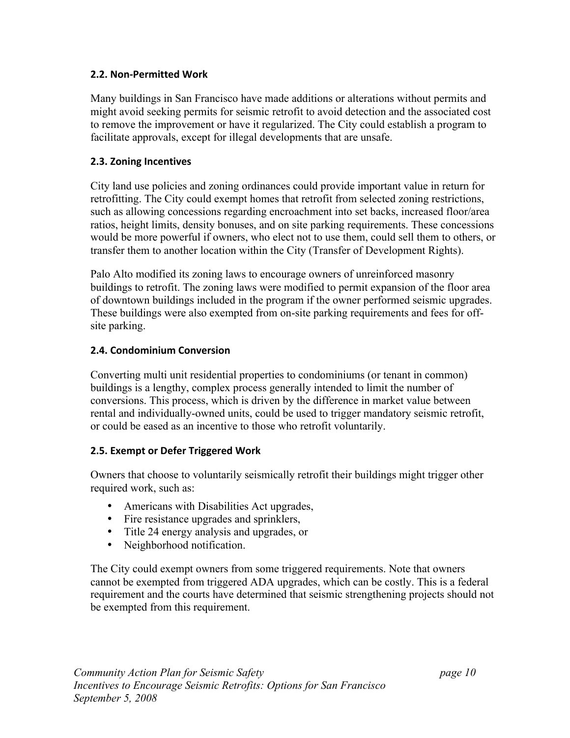#### **2.2.
Non‐Permitted
Work**

Many buildings in San Francisco have made additions or alterations without permits and might avoid seeking permits for seismic retrofit to avoid detection and the associated cost to remove the improvement or have it regularized. The City could establish a program to facilitate approvals, except for illegal developments that are unsafe.

# **2.3.
Zoning
Incentives**

City land use policies and zoning ordinances could provide important value in return for retrofitting. The City could exempt homes that retrofit from selected zoning restrictions, such as allowing concessions regarding encroachment into set backs, increased floor/area ratios, height limits, density bonuses, and on site parking requirements. These concessions would be more powerful if owners, who elect not to use them, could sell them to others, or transfer them to another location within the City (Transfer of Development Rights).

Palo Alto modified its zoning laws to encourage owners of unreinforced masonry buildings to retrofit. The zoning laws were modified to permit expansion of the floor area of downtown buildings included in the program if the owner performed seismic upgrades. These buildings were also exempted from on-site parking requirements and fees for offsite parking.

# **2.4.
Condominium
Conversion**

Converting multi unit residential properties to condominiums (or tenant in common) buildings is a lengthy, complex process generally intended to limit the number of conversions. This process, which is driven by the difference in market value between rental and individually-owned units, could be used to trigger mandatory seismic retrofit, or could be eased as an incentive to those who retrofit voluntarily.

# **2.5.
Exempt
or
Defer
Triggered
Work**

Owners that choose to voluntarily seismically retrofit their buildings might trigger other required work, such as:

- Americans with Disabilities Act upgrades,
- Fire resistance upgrades and sprinklers,
- Title 24 energy analysis and upgrades, or
- Neighborhood notification.

The City could exempt owners from some triggered requirements. Note that owners cannot be exempted from triggered ADA upgrades, which can be costly. This is a federal requirement and the courts have determined that seismic strengthening projects should not be exempted from this requirement.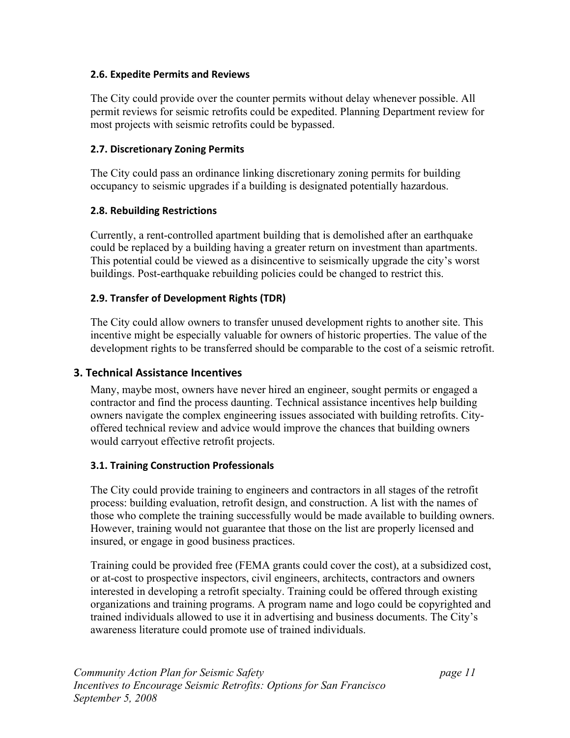#### **2.6.
Expedite
Permits
and
Reviews**

The City could provide over the counter permits without delay whenever possible. All permit reviews for seismic retrofits could be expedited. Planning Department review for most projects with seismic retrofits could be bypassed.

# **2.7.
Discretionary
Zoning
Permits**

The City could pass an ordinance linking discretionary zoning permits for building occupancy to seismic upgrades if a building is designated potentially hazardous.

#### **2.8.
Rebuilding
Restrictions**

Currently, a rent-controlled apartment building that is demolished after an earthquake could be replaced by a building having a greater return on investment than apartments. This potential could be viewed as a disincentive to seismically upgrade the city's worst buildings. Post-earthquake rebuilding policies could be changed to restrict this.

#### **2.9.
Transfer
of
Development
Rights
(TDR)**

The City could allow owners to transfer unused development rights to another site. This incentive might be especially valuable for owners of historic properties. The value of the development rights to be transferred should be comparable to the cost of a seismic retrofit.

# **3. Technical
Assistance Incentives**

Many, maybe most, owners have never hired an engineer, sought permits or engaged a contractor and find the process daunting. Technical assistance incentives help building owners navigate the complex engineering issues associated with building retrofits. Cityoffered technical review and advice would improve the chances that building owners would carryout effective retrofit projects.

#### **3.1.
Training
Construction
Professionals**

The City could provide training to engineers and contractors in all stages of the retrofit process: building evaluation, retrofit design, and construction. A list with the names of those who complete the training successfully would be made available to building owners. However, training would not guarantee that those on the list are properly licensed and insured, or engage in good business practices.

Training could be provided free (FEMA grants could cover the cost), at a subsidized cost, or at-cost to prospective inspectors, civil engineers, architects, contractors and owners interested in developing a retrofit specialty. Training could be offered through existing organizations and training programs. A program name and logo could be copyrighted and trained individuals allowed to use it in advertising and business documents. The City's awareness literature could promote use of trained individuals.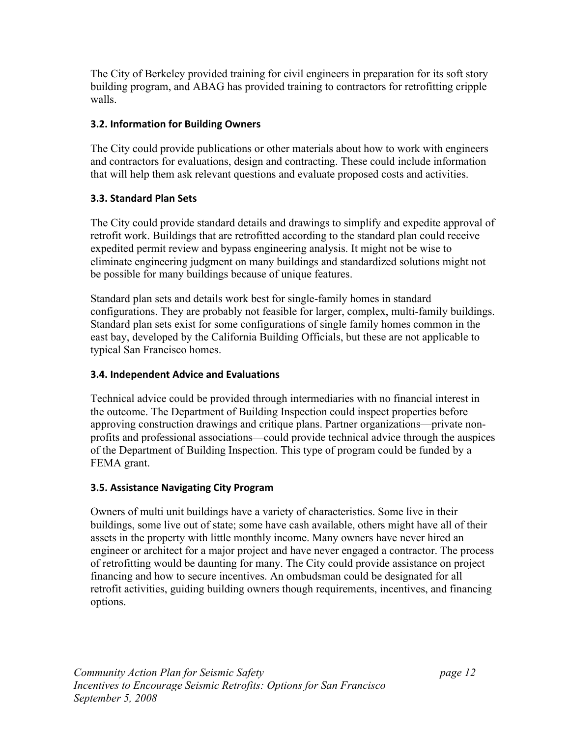The City of Berkeley provided training for civil engineers in preparation for its soft story building program, and ABAG has provided training to contractors for retrofitting cripple walls.

# **3.2.
Information
for
Building
Owners**

The City could provide publications or other materials about how to work with engineers and contractors for evaluations, design and contracting. These could include information that will help them ask relevant questions and evaluate proposed costs and activities.

# **3.3.
Standard
Plan
Sets**

The City could provide standard details and drawings to simplify and expedite approval of retrofit work. Buildings that are retrofitted according to the standard plan could receive expedited permit review and bypass engineering analysis. It might not be wise to eliminate engineering judgment on many buildings and standardized solutions might not be possible for many buildings because of unique features.

Standard plan sets and details work best for single-family homes in standard configurations. They are probably not feasible for larger, complex, multi-family buildings. Standard plan sets exist for some configurations of single family homes common in the east bay, developed by the California Building Officials, but these are not applicable to typical San Francisco homes.

# **3.4.
Independent
Advice
and
Evaluations**

Technical advice could be provided through intermediaries with no financial interest in the outcome. The Department of Building Inspection could inspect properties before approving construction drawings and critique plans. Partner organizations—private nonprofits and professional associations—could provide technical advice through the auspices of the Department of Building Inspection. This type of program could be funded by a FEMA grant.

# **3.5.
Assistance
Navigating
City
Program**

Owners of multi unit buildings have a variety of characteristics. Some live in their buildings, some live out of state; some have cash available, others might have all of their assets in the property with little monthly income. Many owners have never hired an engineer or architect for a major project and have never engaged a contractor. The process of retrofitting would be daunting for many. The City could provide assistance on project financing and how to secure incentives. An ombudsman could be designated for all retrofit activities, guiding building owners though requirements, incentives, and financing options.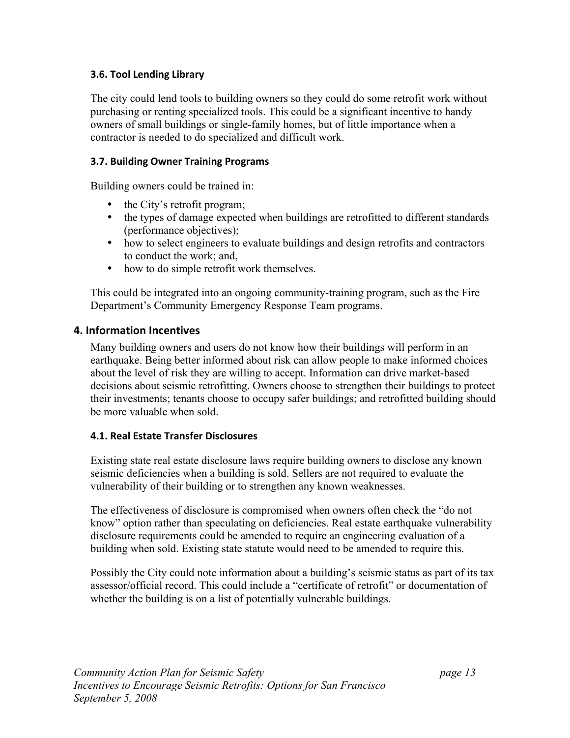#### **3.6.
Tool
Lending
Library**

The city could lend tools to building owners so they could do some retrofit work without purchasing or renting specialized tools. This could be a significant incentive to handy owners of small buildings or single-family homes, but of little importance when a contractor is needed to do specialized and difficult work.

# **3.7.
Building
Owner
Training
Programs**

Building owners could be trained in:

- the City's retrofit program;
- the types of damage expected when buildings are retrofitted to different standards (performance objectives);
- how to select engineers to evaluate buildings and design retrofits and contractors to conduct the work; and,
- how to do simple retrofit work themselves.

This could be integrated into an ongoing community-training program, such as the Fire Department's Community Emergency Response Team programs.

# **4. Information Incentives**

Many building owners and users do not know how their buildings will perform in an earthquake. Being better informed about risk can allow people to make informed choices about the level of risk they are willing to accept. Information can drive market-based decisions about seismic retrofitting. Owners choose to strengthen their buildings to protect their investments; tenants choose to occupy safer buildings; and retrofitted building should be more valuable when sold.

#### **4.1.
Real
Estate
Transfer
Disclosures**

Existing state real estate disclosure laws require building owners to disclose any known seismic deficiencies when a building is sold. Sellers are not required to evaluate the vulnerability of their building or to strengthen any known weaknesses.

The effectiveness of disclosure is compromised when owners often check the "do not know" option rather than speculating on deficiencies. Real estate earthquake vulnerability disclosure requirements could be amended to require an engineering evaluation of a building when sold. Existing state statute would need to be amended to require this.

Possibly the City could note information about a building's seismic status as part of its tax assessor/official record. This could include a "certificate of retrofit" or documentation of whether the building is on a list of potentially vulnerable buildings.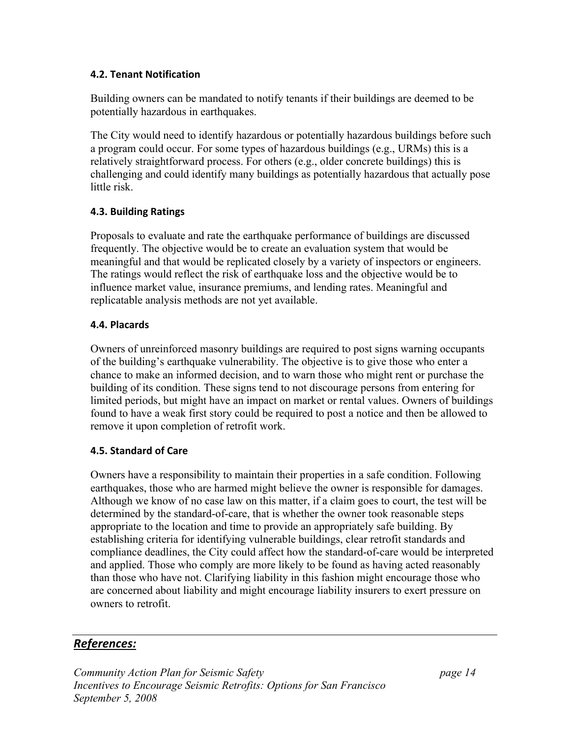# **4.2.
Tenant
Notification**

Building owners can be mandated to notify tenants if their buildings are deemed to be potentially hazardous in earthquakes.

The City would need to identify hazardous or potentially hazardous buildings before such a program could occur. For some types of hazardous buildings (e.g., URMs) this is a relatively straightforward process. For others (e.g., older concrete buildings) this is challenging and could identify many buildings as potentially hazardous that actually pose little risk.

# **4.3.
Building
Ratings**

Proposals to evaluate and rate the earthquake performance of buildings are discussed frequently. The objective would be to create an evaluation system that would be meaningful and that would be replicated closely by a variety of inspectors or engineers. The ratings would reflect the risk of earthquake loss and the objective would be to influence market value, insurance premiums, and lending rates. Meaningful and replicatable analysis methods are not yet available.

# **4.4.
Placards**

Owners of unreinforced masonry buildings are required to post signs warning occupants of the building's earthquake vulnerability. The objective is to give those who enter a chance to make an informed decision, and to warn those who might rent or purchase the building of its condition. These signs tend to not discourage persons from entering for limited periods, but might have an impact on market or rental values. Owners of buildings found to have a weak first story could be required to post a notice and then be allowed to remove it upon completion of retrofit work.

# **4.5.
Standard
of
Care**

Owners have a responsibility to maintain their properties in a safe condition. Following earthquakes, those who are harmed might believe the owner is responsible for damages. Although we know of no case law on this matter, if a claim goes to court, the test will be determined by the standard-of-care, that is whether the owner took reasonable steps appropriate to the location and time to provide an appropriately safe building. By establishing criteria for identifying vulnerable buildings, clear retrofit standards and compliance deadlines, the City could affect how the standard-of-care would be interpreted and applied. Those who comply are more likely to be found as having acted reasonably than those who have not. Clarifying liability in this fashion might encourage those who are concerned about liability and might encourage liability insurers to exert pressure on owners to retrofit.

# *References:*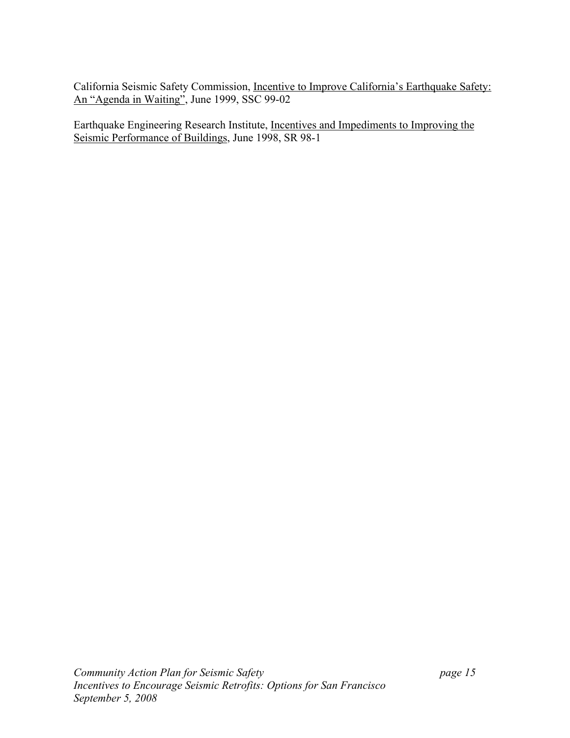California Seismic Safety Commission, Incentive to Improve California's Earthquake Safety: An "Agenda in Waiting", June 1999, SSC 99-02

Earthquake Engineering Research Institute, Incentives and Impediments to Improving the Seismic Performance of Buildings, June 1998, SR 98-1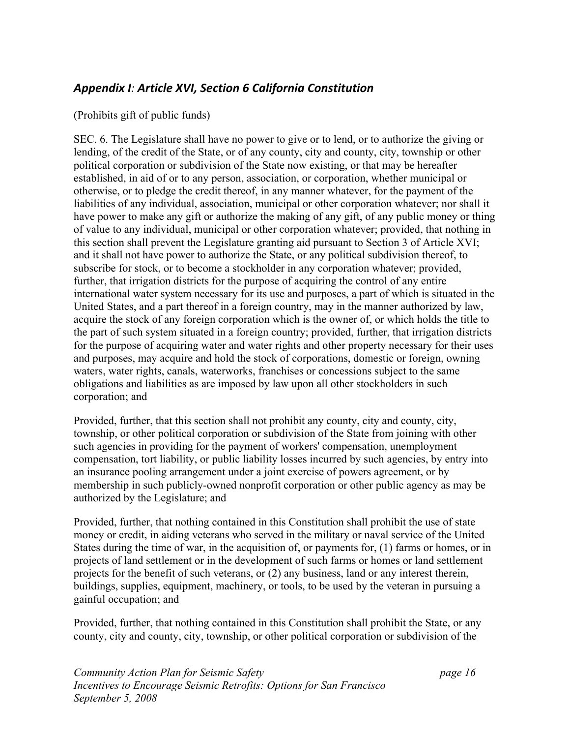# *Appendix I: Article XVI, Section 6 California Constitution*

#### (Prohibits gift of public funds)

SEC. 6. The Legislature shall have no power to give or to lend, or to authorize the giving or lending, of the credit of the State, or of any county, city and county, city, township or other political corporation or subdivision of the State now existing, or that may be hereafter established, in aid of or to any person, association, or corporation, whether municipal or otherwise, or to pledge the credit thereof, in any manner whatever, for the payment of the liabilities of any individual, association, municipal or other corporation whatever; nor shall it have power to make any gift or authorize the making of any gift, of any public money or thing of value to any individual, municipal or other corporation whatever; provided, that nothing in this section shall prevent the Legislature granting aid pursuant to Section 3 of Article XVI; and it shall not have power to authorize the State, or any political subdivision thereof, to subscribe for stock, or to become a stockholder in any corporation whatever; provided, further, that irrigation districts for the purpose of acquiring the control of any entire international water system necessary for its use and purposes, a part of which is situated in the United States, and a part thereof in a foreign country, may in the manner authorized by law, acquire the stock of any foreign corporation which is the owner of, or which holds the title to the part of such system situated in a foreign country; provided, further, that irrigation districts for the purpose of acquiring water and water rights and other property necessary for their uses and purposes, may acquire and hold the stock of corporations, domestic or foreign, owning waters, water rights, canals, waterworks, franchises or concessions subject to the same obligations and liabilities as are imposed by law upon all other stockholders in such corporation; and

Provided, further, that this section shall not prohibit any county, city and county, city, township, or other political corporation or subdivision of the State from joining with other such agencies in providing for the payment of workers' compensation, unemployment compensation, tort liability, or public liability losses incurred by such agencies, by entry into an insurance pooling arrangement under a joint exercise of powers agreement, or by membership in such publicly-owned nonprofit corporation or other public agency as may be authorized by the Legislature; and

Provided, further, that nothing contained in this Constitution shall prohibit the use of state money or credit, in aiding veterans who served in the military or naval service of the United States during the time of war, in the acquisition of, or payments for, (1) farms or homes, or in projects of land settlement or in the development of such farms or homes or land settlement projects for the benefit of such veterans, or (2) any business, land or any interest therein, buildings, supplies, equipment, machinery, or tools, to be used by the veteran in pursuing a gainful occupation; and

Provided, further, that nothing contained in this Constitution shall prohibit the State, or any county, city and county, city, township, or other political corporation or subdivision of the